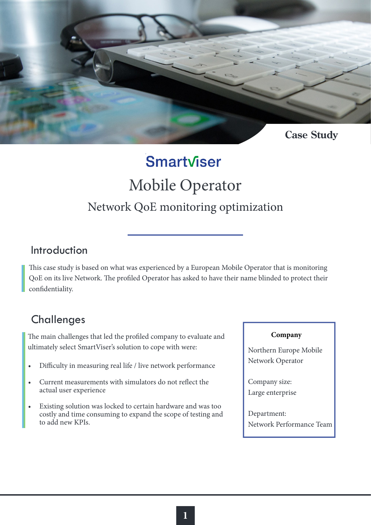

# Smartviser Mobile Operator Network QoE monitoring optimization

### Introduction

This case study is based on what was experienced by a European Mobile Operator that is monitoring QoE on its live Network. The profiled Operator has asked to have their name blinded to protect their confidentiality.

## **Challenges**

The main challenges that led the profiled company to evaluate and ultimately select SmartViser's solution to cope with were:

- Difficulty in measuring real life / live network performance
- Current measurements with simulators do not reflect the actual user experience
- Existing solution was locked to certain hardware and was too costly and time consuming to expand the scope of testing and to add new KPIs.

#### **Company**

Northern Europe Mobile Network Operator

Company size: Large enterprise

Department: Network Performance Team